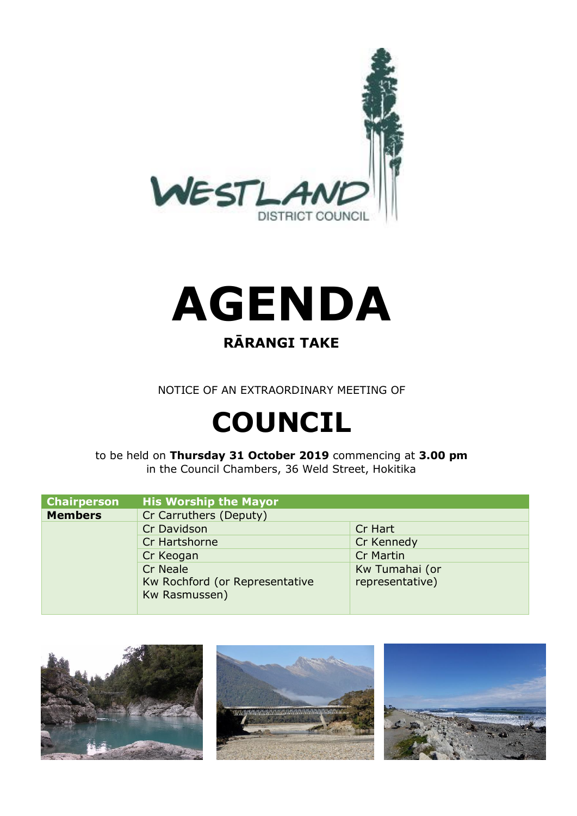



### **RĀRANGI TAKE**

NOTICE OF AN EXTRAORDINARY MEETING OF

# **COUNCIL**

to be held on **Thursday 31 October 2019** commencing at **3.00 pm** in the Council Chambers, 36 Weld Street, Hokitika

| <b>Chairperson</b> | <b>His Worship the Mayor</b>   |                  |
|--------------------|--------------------------------|------------------|
| <b>Members</b>     | Cr Carruthers (Deputy)         |                  |
|                    | Cr Davidson                    | Cr Hart          |
|                    | Cr Hartshorne                  | Cr Kennedy       |
|                    | Cr Keogan                      | <b>Cr Martin</b> |
|                    | Cr Neale                       | Kw Tumahai (or   |
|                    | Kw Rochford (or Representative | representative)  |
|                    | Kw Rasmussen)                  |                  |
|                    |                                |                  |